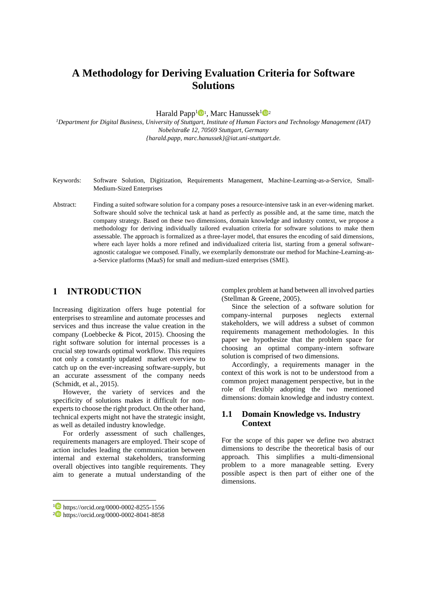# **A Methodology for Deriving Evaluation Criteria for Software Solutions**

Harald Papp<sup>1</sup><sup>0</sup><sup>1</sup>, Marc Hanussek<sup>1</sup><sup>02</sup>

*<sup>1</sup>Department for Digital Business, University of Stuttgart, Institute of Human Factors and Technology Management (IAT) Nobelstraße 12, 70569 Stuttgart, Germany {harald.papp, marc.hanussek}@iat.uni-stuttgart.de.*

- Keywords: Software Solution, Digitization, Requirements Management, Machine-Learning-as-a-Service, Small-Medium-Sized Enterprises
- Abstract: Finding a suited software solution for a company poses a resource-intensive task in an ever-widening market. Software should solve the technical task at hand as perfectly as possible and, at the same time, match the company strategy. Based on these two dimensions, domain knowledge and industry context, we propose a methodology for deriving individually tailored evaluation criteria for software solutions to make them assessable. The approach is formalized as a three-layer model, that ensures the encoding of said dimensions, where each layer holds a more refined and individualized criteria list, starting from a general softwareagnostic catalogue we composed. Finally, we exemplarily demonstrate our method for Machine-Learning-asa-Service platforms (MaaS) for small and medium-sized enterprises (SME).

### **1 INTRODUCTION**

Increasing digitization offers huge potential for enterprises to streamline and automate processes and services and thus increase the value creation in the company (Loebbecke & Picot, 2015). Choosing the right software solution for internal processes is a crucial step towards optimal workflow. This requires not only a constantly updated market overview to catch up on the ever-increasing software-supply, but an accurate assessment of the company needs (Schmidt, et al., 2015).

However, the variety of services and the specificity of solutions makes it difficult for nonexperts to choose the right product. On the other hand, technical experts might not have the strategic insight, as well as detailed industry knowledge.

For orderly assessment of such challenges, requirements managers are employed. Their scope of action includes leading the communication between internal and external stakeholders, transforming overall objectives into tangible requirements. They aim to generate a mutual understanding of the

<sup>1</sup> https://orcid.org/0000-0002-8255-1556

complex problem at hand between all involved parties (Stellman & Greene, 2005).

Since the selection of a software solution for company-internal purposes neglects external stakeholders, we will address a subset of common requirements management methodologies. In this paper we hypothesize that the problem space for choosing an optimal company-intern software solution is comprised of two dimensions.

Accordingly, a requirements manager in the context of this work is not to be understood from a common project management perspective, but in the role of flexibly adopting the two mentioned dimensions: domain knowledge and industry context.

#### **1.1 Domain Knowledge vs. Industry Context**

For the scope of this paper we define two abstract dimensions to describe the theoretical basis of our approach. This simplifies a multi-dimensional problem to a more manageable setting. Every possible aspect is then part of either one of the dimensions.

<sup>2</sup> https://orcid.org/0000-0002-8041-8858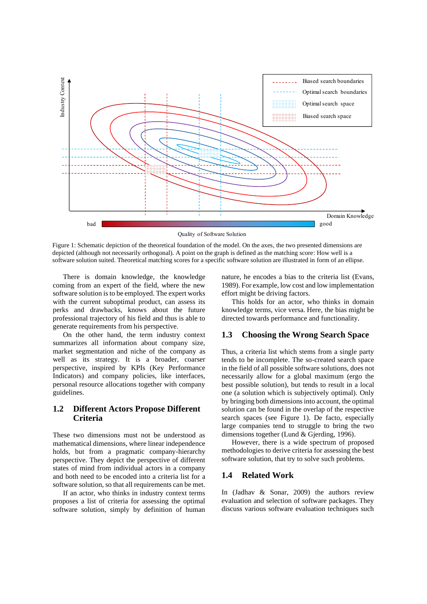

Figure 1: Schematic depiction of the theoretical foundation of the model. On the axes, the two presented dimensions are depicted (although not necessarily orthogonal). A point on the graph is defined as the matching score: How well is a software solution suited. Theoretical matching scores for a specific software solution are illustrated in form of an ellipse.

There is domain knowledge, the knowledge coming from an expert of the field, where the new software solution is to be employed. The expert works with the current suboptimal product, can assess its perks and drawbacks, knows about the future professional trajectory of his field and thus is able to generate requirements from his perspective.

On the other hand, the term industry context summarizes all information about company size, market segmentation and niche of the company as well as its strategy. It is a broader, coarser perspective, inspired by KPIs (Key Performance Indicators) and company policies, like interfaces, personal resource allocations together with company guidelines.

#### **1.2 Different Actors Propose Different Criteria**

These two dimensions must not be understood as mathematical dimensions, where linear independence holds, but from a pragmatic company-hierarchy perspective. They depict the perspective of different states of mind from individual actors in a company and both need to be encoded into a criteria list for a software solution, so that all requirements can be met.

If an actor, who thinks in industry context terms proposes a list of criteria for assessing the optimal software solution, simply by definition of human nature, he encodes a bias to the criteria list (Evans, 1989). For example, low cost and low implementation effort might be driving factors.

This holds for an actor, who thinks in domain knowledge terms, vice versa. Here, the bias might be directed towards performance and functionality.

#### **1.3 Choosing the Wrong Search Space**

Thus, a criteria list which stems from a single party tends to be incomplete. The so-created search space in the field of all possible software solutions, does not necessarily allow for a global maximum (ergo the best possible solution), but tends to result in a local one (a solution which is subjectively optimal). Only by bringing both dimensions into account, the optimal solution can be found in the overlap of the respective search spaces (see Figure 1). De facto, especially large companies tend to struggle to bring the two dimensions together (Lund & Gjerding, 1996).

However, there is a wide spectrum of proposed methodologies to derive criteria for assessing the best software solution, that try to solve such problems.

#### **1.4 Related Work**

In (Jadhav & Sonar, 2009) the authors review evaluation and selection of software packages. They discuss various software evaluation techniques such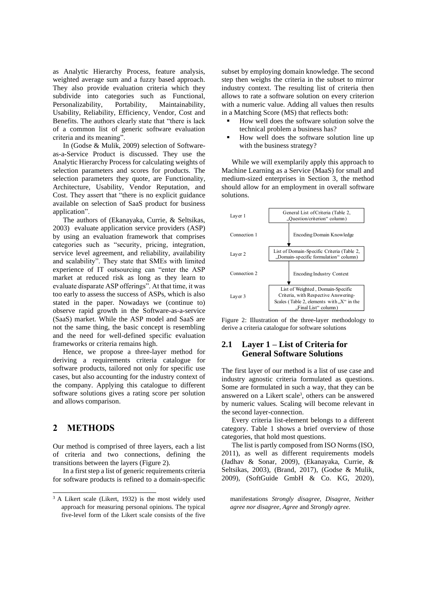as Analytic Hierarchy Process, feature analysis, weighted average sum and a fuzzy based approach. They also provide evaluation criteria which they subdivide into categories such as Functional, Personalizability, Portability, Maintainability, Usability, Reliability, Efficiency, Vendor, Cost and Benefits. The authors clearly state that "there is lack of a common list of generic software evaluation criteria and its meaning".

In (Godse & Mulik, 2009) selection of Softwareas-a-Service Product is discussed. They use the Analytic Hierarchy Process for calculating weights of selection parameters and scores for products. The selection parameters they quote, are Functionality, Architecture, Usability, Vendor Reputation, and Cost. They assert that "there is no explicit guidance" available on selection of SaaS product for business application".

The authors of (Ekanayaka, Currie, & Seltsikas, 2003) evaluate application service providers (ASP) by using an evaluation framework that comprises categories such as "security, pricing, integration, service level agreement, and reliability, availability and scalability". They state that SMEs with limited experience of IT outsourcing can "enter the ASP market at reduced risk as long as they learn to evaluate disparate ASP offerings". At that time, it was too early to assess the success of ASPs, which is also stated in the paper. Nowadays we (continue to) observe rapid growth in the Software-as-a-service (SaaS) market. While the ASP model and SaaS are not the same thing, the basic concept is resembling and the need for well-defined specific evaluation frameworks or criteria remains high.

Hence, we propose a three-layer method for deriving a requirements criteria catalogue for software products, tailored not only for specific use cases, but also accounting for the industry context of the company. Applying this catalogue to different software solutions gives a rating score per solution and allows comparison.

### **2 METHODS**

Our method is comprised of three layers, each a list of criteria and two connections, defining the transitions between the layers [\(Figure 2\)](#page-2-0).

In a first step a list of generic requirements criteria for software products is refined to a domain-specific

subset by employing domain knowledge. The second step then weighs the criteria in the subset to mirror industry context. The resulting list of criteria then allows to rate a software solution on every criterion with a numeric value. Adding all values then results in a Matching Score (MS) that reflects both:

- How well does the software solution solve the technical problem a business has?
- How well does the software solution line up with the business strategy?

While we will exemplarily apply this approach to Machine Learning as a Service (MaaS) for small and medium-sized enterprises in Section 3, the method should allow for an employment in overall software solutions.



<span id="page-2-0"></span>

#### **2.1 Layer 1 – List of Criteria for General Software Solutions**

The first layer of our method is a list of use case and industry agnostic criteria formulated as questions. Some are formulated in such a way, that they can be answered on a Likert scale<sup>3</sup> , others can be answered by numeric values. Scaling will become relevant in the second layer-connection.

Every criteria list-element belongs to a different category. [Table 1](#page-3-0) shows a brief overview of those categories, that hold most questions.

The list is partly composed from ISO Norms (ISO, 2011), as well as different requirements models (Jadhav & Sonar, 2009), (Ekanayaka, Currie, & Seltsikas, 2003), (Brand, 2017), (Godse & Mulik, 2009), (SoftGuide GmbH & Co. KG, 2020),

<sup>&</sup>lt;sup>3</sup> A Likert scale (Likert, 1932) is the most widely used approach for measuring personal opinions. The typical five-level form of the Likert scale consists of the five

manifestations *Strongly disagree, Disagree, Neither agree nor disagree, Agree* and *Strongly agree*.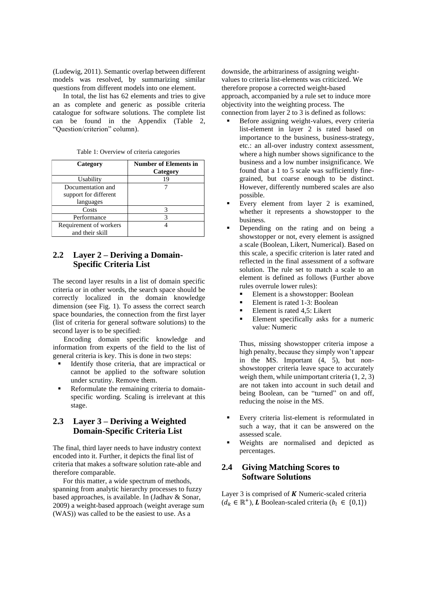(Ludewig, 2011). Semantic overlap between different models was resolved, by summarizing similar questions from different models into one element.

In total, the list has 62 elements and tries to give an as complete and generic as possible criteria catalogue for software solutions. The complete list can be found in the Appendix (Table 2, " Question/criterion" column).

|  |  |  | Table 1: Overview of criteria categories |
|--|--|--|------------------------------------------|
|  |  |  |                                          |

<span id="page-3-0"></span>

| Category                                                | <b>Number of Elements in</b><br>Category |
|---------------------------------------------------------|------------------------------------------|
| Usability                                               | 19                                       |
| Documentation and<br>support for different<br>languages |                                          |
| Costs                                                   |                                          |
| Performance                                             |                                          |
| Requirement of workers<br>and their skill               |                                          |

### **2.2 Layer 2 – Deriving a Domain-Specific Criteria List**

The second layer results in a list of domain specific criteria or in other words, the search space should be correctly localized in the domain knowledge dimension (see Fig. 1). To assess the correct search space boundaries, the connection from the first layer (list of criteria for general software solutions) to the second layer is to be specified:

Encoding domain specific knowledge and information from experts of the field to the list of general criteria is key. This is done in two steps:

- Identify those criteria, that are impractical or cannot be applied to the software solution under scrutiny. Remove them.
- Reformulate the remaining criteria to domainspecific wording. Scaling is irrelevant at this stage.

### **2.3 Layer 3 – Deriving a Weighted Domain-Specific Criteria List**

The final, third layer needs to have industry context encoded into it. Further, it depicts the final list of criteria that makes a software solution rate-able and therefore comparable.

For this matter, a wide spectrum of methods, spanning from analytic hierarchy processes to fuzzy based approaches, is available. In (Jadhav & Sonar, 2009) a weight-based approach (weight average sum (WAS)) was called to be the easiest to use. As a

downside, the arbitrariness of assigning weightvalues to criteria list-elements was criticized. We therefore propose a corrected weight-based approach, accompanied by a rule set to induce more objectivity into the weighting process. The connection from layer 2 to 3 is defined as follows:

- Before assigning weight-values, every criteria list-element in layer 2 is rated based on importance to the business, business-strategy, etc.: an all-over industry context assessment, where a high number shows significance to the business and a low number insignificance. We found that a 1 to 5 scale was sufficiently finegrained, but coarse enough to be distinct. However, differently numbered scales are also possible.
- Every element from layer 2 is examined, whether it represents a showstopper to the business.
- Depending on the rating and on being a showstopper or not, every element is assigned a scale (Boolean, Likert, Numerical). Based on this scale, a specific criterion is later rated and reflected in the final assessment of a software solution. The rule set to match a scale to an element is defined as follows (Further above rules overrule lower rules):
	- Element is a showstopper: Boolean
	- Element is rated 1-3: Boolean
	- Element is rated 4.5: Likert
	- Element specifically asks for a numeric value: Numeric

Thus, missing showstopper criteria impose a high penalty, because they simply won't appear in the MS. Important (4, 5), but nonshowstopper criteria leave space to accurately weigh them, while unimportant criteria (1, 2, 3) are not taken into account in such detail and being Boolean, can be "turned" on and off, reducing the noise in the MS.

- Every criteria list-element is reformulated in such a way, that it can be answered on the assessed scale.
- Weights are normalised and depicted as percentages.

### **2.4 Giving Matching Scores to Software Solutions**

Layer 3 is comprised of  $K$  Numeric-scaled criteria  $(d_k \in \mathbb{R}^+), L$  Boolean-scaled criteria  $(b_l \in \{0,1\})$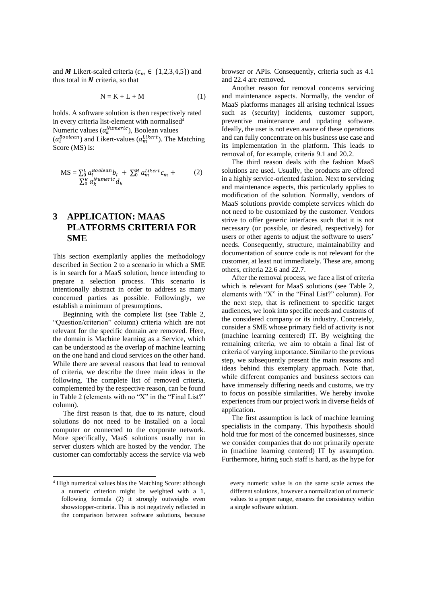and M Likert-scaled criteria ( $c_m \in \{1,2,3,4,5\}$ ) and thus total in  $N$  criteria, so that

$$
N = K + L + M \tag{1}
$$

holds. A software solution is then respectively rated in every criteria list-element with normalised<sup>4</sup> Numeric values  $(a_k^{\textit{Numeric}})$ , Boolean values  $(a_l^{Boolean})$  and Likert-values  $(a_m^{Likert})$ . The Matching Score (MS) is:

$$
MS = \sum_{l=0}^{L} a_l^{Boolean} b_l + \sum_{l=0}^{M} a_m^{Likert} c_m + \sum_{l=0}^{M} a_k^{Numeric} d_k
$$
 (2)

# **3 APPLICATION: MAAS PLATFORMS CRITERIA FOR SME**

This section exemplarily applies the methodology described in Section 2 to a scenario in which a SME is in search for a MaaS solution, hence intending to prepare a selection process. This scenario is intentionally abstract in order to address as many concerned parties as possible. Followingly, we establish a minimum of presumptions.

Beginning with the complete list (see Table 2, "Question/criterion" column) criteria which are not relevant for the specific domain are removed. Here, the domain is Machine learning as a Service, which can be understood as the overlap of machine learning on the one hand and cloud services on the other hand. While there are several reasons that lead to removal of criteria, we describe the three main ideas in the following. The complete list of removed criteria, complemented by the respective reason, can be found in Table 2 (elements with no "X" in the "Final List?" column).

The first reason is that, due to its nature, cloud solutions do not need to be installed on a local computer or connected to the corporate network. More specifically, MaaS solutions usually run in server clusters which are hosted by the vendor. The customer can comfortably access the service via web browser or APIs. Consequently, criteria such as 4.1 and 22.4 are removed.

Another reason for removal concerns servicing and maintenance aspects. Normally, the vendor of MaaS platforms manages all arising technical issues such as (security) incidents, customer support, preventive maintenance and updating software. Ideally, the user is not even aware of these operations and can fully concentrate on his business use case and its implementation in the platform. This leads to removal of, for example, criteria 9.1 and 20.2.

The third reason deals with the fashion MaaS solutions are used. Usually, the products are offered in a highly service-oriented fashion. Next to servicing and maintenance aspects, this particularly applies to modification of the solution. Normally, vendors of MaaS solutions provide complete services which do not need to be customized by the customer. Vendors strive to offer generic interfaces such that it is not necessary (or possible, or desired, respectively) for users or other agents to adjust the software to users' needs. Consequently, structure, maintainability and documentation of source code is not relevant for the customer, at least not immediately. These are, among others, criteria 22.6 and 22.7.

After the removal process, we face a list of criteria which is relevant for MaaS solutions (see Table 2, elements with "X" in the "Final List?" column). For the next step, that is refinement to specific target audiences, we look into specific needs and customs of the considered company or its industry. Concretely, consider a SME whose primary field of activity is not (machine learning centered) IT. By weighting the remaining criteria, we aim to obtain a final list of criteria of varying importance. Similar to the previous step, we subsequently present the main reasons and ideas behind this exemplary approach. Note that, while different companies and business sectors can have immensely differing needs and customs, we try to focus on possible similarities. We hereby invoke experiences from our project work in diverse fields of application.

The first assumption is lack of machine learning specialists in the company. This hypothesis should hold true for most of the concerned businesses, since we consider companies that do not primarily operate in (machine learning centered) IT by assumption. Furthermore, hiring such staff is hard, as the hype for

<sup>4</sup> High numerical values bias the Matching Score: although a numeric criterion might be weighted with a 1, following formula (2) it strongly outweighs even showstopper-criteria. This is not negatively reflected in the comparison between software solutions, because

every numeric value is on the same scale across the different solutions, however a normalization of numeric values to a proper range, ensures the consistency within a single software solution.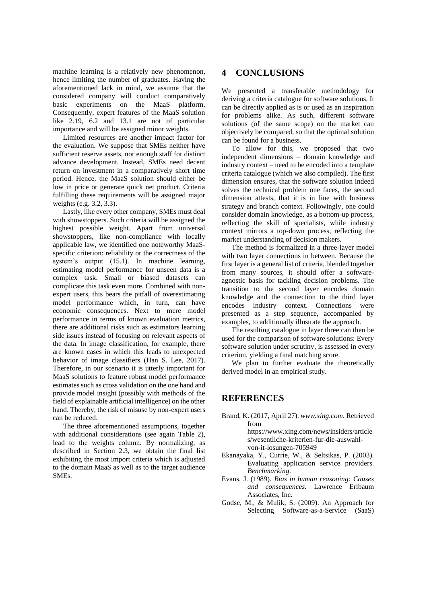machine learning is a relatively new phenomenon, hence limiting the number of graduates. Having the aforementioned lack in mind, we assume that the considered company will conduct comparatively basic experiments on the MaaS platform. Consequently, expert features of the MaaS solution like 2.19, 6.2 and 13.1 are not of particular importance and will be assigned minor weights.

Limited resources are another impact factor for the evaluation. We suppose that SMEs neither have sufficient reserve assets, nor enough staff for distinct advance development. Instead, SMEs need decent return on investment in a comparatively short time period. Hence, the MaaS solution should either be low in price or generate quick net product. Criteria fulfilling these requirements will be assigned major weights (e.g. 3.2, 3.3).

Lastly, like every other company, SMEs must deal with showstoppers. Such criteria will be assigned the highest possible weight. Apart from universal showstoppers, like non-compliance with locally applicable law, we identified one noteworthy MaaSspecific criterion: reliability or the correctness of the system's output  $(15.1)$ . In machine learning, estimating model performance for unseen data is a complex task. Small or biased datasets can complicate this task even more. Combined with nonexpert users, this bears the pitfall of overestimating model performance which, in turn, can have economic consequences. Next to mere model performance in terms of known evaluation metrics, there are additional risks such as estimators learning side issues instead of focusing on relevant aspects of the data. In image classification, for example, there are known cases in which this leads to unexpected behavior of image classifiers (Han S. Lee, 2017). Therefore, in our scenario it is utterly important for MaaS solutions to feature robust model performance estimates such as cross validation on the one hand and provide model insight (possibly with methods of the field of explainable artificial intelligence) on the other hand. Thereby, the risk of misuse by non-expert users can be reduced.

The three aforementioned assumptions, together with additional considerations (see again Table 2), lead to the weights column. By normalizing, as described in Section 2.3, we obtain the final list exhibiting the most import criteria which is adjusted to the domain MaaS as well as to the target audience SMEs.

### **4 CONCLUSIONS**

We presented a transferable methodology for deriving a criteria catalogue for software solutions. It can be directly applied as is or used as an inspiration for problems alike. As such, different software solutions (of the same scope) on the market can objectively be compared, so that the optimal solution can be found for a business.

To allow for this, we proposed that two independent dimensions – domain knowledge and industry context – need to be encoded into a template criteria catalogue (which we also compiled). The first dimension ensures, that the software solution indeed solves the technical problem one faces, the second dimension attests, that it is in line with business strategy and branch context. Followingly, one could consider domain knowledge, as a bottom-up process, reflecting the skill of specialists, while industry context mirrors a top-down process, reflecting the market understanding of decision makers.

The method is formalized in a three-layer model with two layer connections in between. Because the first layer is a general list of criteria, blended together from many sources, it should offer a softwareagnostic basis for tackling decision problems. The transition to the second layer encodes domain knowledge and the connection to the third layer encodes industry context. Connections were presented as a step sequence, accompanied by examples, to additionally illustrate the approach.

The resulting catalogue in layer three can then be used for the comparison of software solutions: Every software solution under scrutiny, is assessed in every criterion, yielding a final matching score.

We plan to further evaluate the theoretically derived model in an empirical study.

#### **REFERENCES**

Brand, K. (2017, April 27). *www.xing.com*. Retrieved from

> https://www.xing.com/news/insiders/article s/wesentliche-kriterien-fur-die-auswahlvon-it-losungen-705949

- Ekanayaka, Y., Currie, W., & Seltsikas, P. (2003). Evaluating application service providers. *Benchmarking*.
- Evans, J. (1989). *Bias in human reasoning: Causes and consequences.* Lawrence Erlbaum Associates, Inc.
- Godse, M., & Mulik, S. (2009). An Approach for Selecting Software-as-a-Service (SaaS)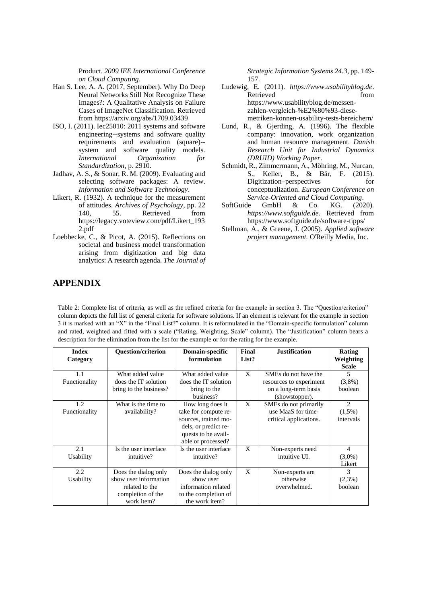Product. *2009 IEE International Conference on Cloud Computing*.

- Han S. Lee, A. A. (2017, September). Why Do Deep Neural Networks Still Not Recognize These Images?: A Qualitative Analysis on Failure Cases of ImageNet Classification. Retrieved from https://arxiv.org/abs/1709.03439
- ISO, I. (2011). Iec25010: 2011 systems and software engineering--systems and software quality requirements and evaluation (square)- system and software quality models. *International Organization for Standardization*, p. 2910.
- Jadhav, A. S., & Sonar, R. M. (2009). Evaluating and selecting software packages: A review. *Information and Software Technology*.
- Likert, R. (1932). A technique for the measurement of attitudes. *Archives of Psychology*, pp. 22 140, 55. Retrieved from https://legacy.voteview.com/pdf/Likert\_193 2.pdf
- Loebbecke, C., & Picot, A. (2015). Reflections on societal and business model transformation arising from digitization and big data analytics: A research agenda. *The Journal of*

*Strategic Information Systems 24.3*, pp. 149- 157.

- Ludewig, E. (2011). *https://www.usabilityblog.de*. Retrieved from https://www.usabilityblog.de/messenzahlen-vergleich-%E2%80%93-diesemetriken-konnen-usability-tests-bereichern/
- Lund, R., & Gjerding, A. (1996). The flexible company: innovation, work organization and human resource management. *Danish Research Unit for Industrial Dynamics (DRUID) Working Paper*.
- Schmidt, R., Zimmermann, A., Möhring, M., Nurcan, S., Keller, B., & Bär, F. (2015). Digitization–perspectives for conceptualization. *European Conference on*
- *Service-Oriented and Cloud Computing*. SoftGuide GmbH & Co. KG. *https://www.softguide.de*. Retrieved from https://www.softguide.de/software-tipps/
- Stellman, A., & Greene, J. (2005). *Applied software project management.* O'Reilly Media, Inc.

## **APPENDIX**

Table 2: Complete list of criteria, as well as the refined criteria for the example in section 3. The "Question/criterion" column depicts the full list of general criteria for software solutions. If an element is relevant for the example in section 3 it is marked with an "X" in the "Final List?" column. It is reformulated in the "Domain-specific formulation" column and rated, weighted and fitted with a scale ("Rating, Weighting, Scale" column). The "Justification" column bears a description for the elimination from the list for the example or for the rating for the example.

| <b>Index</b><br>Category | <b>Ouestion/criterion</b>                                                                          | Domain-specific<br>formulation                                                                                                        | Final<br>List? | <b>Justification</b>                                                                      | <b>Rating</b><br>Weighting<br><b>Scale</b>       |
|--------------------------|----------------------------------------------------------------------------------------------------|---------------------------------------------------------------------------------------------------------------------------------------|----------------|-------------------------------------------------------------------------------------------|--------------------------------------------------|
| 1.1<br>Functionality     | What added value<br>does the IT solution<br>bring to the business?                                 | What added value<br>does the IT solution<br>bring to the<br>business?                                                                 | X              | SMEs do not have the<br>resources to experiment<br>on a long-term basis<br>(showstopper). | $\overline{\phantom{0}}$<br>$(3,8\%)$<br>boolean |
| 1.2<br>Functionality     | What is the time to<br>availability?                                                               | How long does it<br>take for compute re-<br>sources, trained mo-<br>dels, or predict re-<br>quests to be avail-<br>able or processed? | X              | SMEs do not primarily<br>use MaaS for time-<br>critical applications.                     | 2<br>$(1,5\%)$<br>intervals                      |
| 2.1<br>Usability         | Is the user interface<br>intuitive?                                                                | Is the user interface<br>intuitive?                                                                                                   | X              | Non-experts need<br>intuitive UI.                                                         | 4<br>$(3,0\%)$<br>Likert                         |
| 2.2<br>Usability         | Does the dialog only<br>show user information<br>related to the<br>completion of the<br>work item? | Does the dialog only<br>show user<br>information related<br>to the completion of<br>the work item?                                    | X              | Non-experts are<br>otherwise<br>overwhelmed.                                              | $\mathcal{F}$<br>$(2,3\%)$<br>boolean            |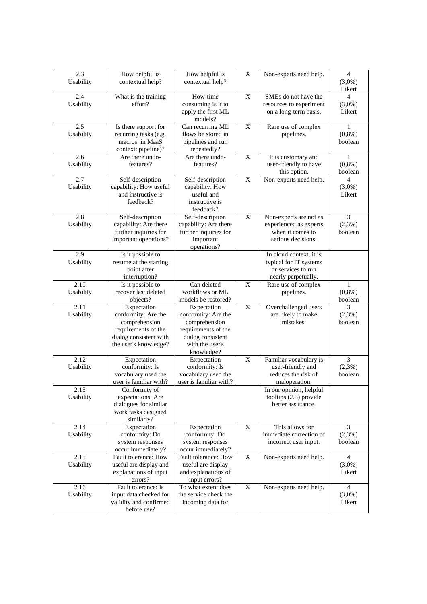| 2.3<br>Usability  | How helpful is<br>contextual help?             | How helpful is<br>contextual help?        | X           | Non-experts need help.                           | $\overline{4}$<br>$(3,0\%)$ |
|-------------------|------------------------------------------------|-------------------------------------------|-------------|--------------------------------------------------|-----------------------------|
|                   |                                                |                                           |             |                                                  | Likert                      |
| 2.4               | What is the training                           | How-time                                  | X           | SMEs do not have the                             | 4                           |
| Usability         | effort?                                        | consuming is it to<br>apply the first ML  |             | resources to experiment<br>on a long-term basis. | $(3,0\%)$<br>Likert         |
|                   |                                                | models?                                   |             |                                                  |                             |
| 2.5               | Is there support for                           | Can recurring ML<br>flows be stored in    | X           | Rare use of complex                              | 1                           |
| Usability         | recurring tasks (e.g.<br>macros; in MaaS       | pipelines and run                         |             | pipelines.                                       | $(0,8\%)$<br>boolean        |
|                   | context: pipeline)?                            | repeatedly?                               |             |                                                  |                             |
| 2.6               | Are there undo-                                | Are there undo-                           | X           | It is customary and                              | 1                           |
| Usability         | features?                                      | features?                                 |             | user-friendly to have                            | $(0,8\%)$                   |
| 2.7               | Self-description                               | Self-description                          | $\mathbf X$ | this option.<br>Non-experts need help.           | boolean<br>$\overline{4}$   |
| Usability         | capability: How useful                         | capability: How                           |             |                                                  | $(3,0\%)$                   |
|                   | and instructive is                             | useful and                                |             |                                                  | Likert                      |
|                   | feedback?                                      | instructive is                            |             |                                                  |                             |
|                   |                                                | feedback?                                 |             |                                                  |                             |
| 2.8<br>Usability  | Self-description                               | Self-description<br>capability: Are there | X           | Non-experts are not as                           | 3                           |
|                   | capability: Are there<br>further inquiries for | further inquiries for                     |             | experienced as experts<br>when it comes to       | $(2,3\%)$<br>boolean        |
|                   | important operations?                          | important                                 |             | serious decisions.                               |                             |
|                   |                                                | operations?                               |             |                                                  |                             |
| 2.9               | Is it possible to                              |                                           |             | In cloud context, it is                          |                             |
| Usability         | resume at the starting<br>point after          |                                           |             | typical for IT systems<br>or services to run     |                             |
|                   | interruption?                                  |                                           |             | nearly perpetually.                              |                             |
| 2.10              | Is it possible to                              | Can deleted                               | X           | Rare use of complex                              | 1                           |
| Usability         | recover last deleted                           | workflows or ML                           |             | pipelines.                                       | $(0,8\%)$                   |
|                   | objects?                                       | models be restored?                       |             |                                                  | boolean                     |
| 2.11              | Expectation                                    | Expectation                               | X           | Overchallenged users                             | 3                           |
| Usability         | conformity: Are the<br>comprehension           | conformity: Are the<br>comprehension      |             | are likely to make<br>mistakes.                  | (2,3%)<br>boolean           |
|                   | requirements of the                            | requirements of the                       |             |                                                  |                             |
|                   | dialog consistent with                         | dialog consistent                         |             |                                                  |                             |
|                   | the user's knowledge?                          | with the user's                           |             |                                                  |                             |
| 2.12              | Expectation                                    | knowledge?<br>Expectation                 | X           | Familiar vocabulary is                           | 3                           |
| Usability         | conformity: Is                                 | conformity: Is                            |             | user-friendly and                                | $(2,3\%)$                   |
|                   | vocabulary used the                            | vocabulary used the                       |             | reduces the risk of                              | boolean                     |
|                   | user is familiar with?                         | user is familiar with?                    |             | maloperation.                                    |                             |
| 2.13              | Conformity of                                  |                                           |             | In our opinion, helpful                          |                             |
| Usability         | expectations: Are<br>dialogues for similar     |                                           |             | tooltips $(2.3)$ provide<br>better assistance.   |                             |
|                   | work tasks designed                            |                                           |             |                                                  |                             |
|                   | similarly?                                     |                                           |             |                                                  |                             |
| 2.14              | Expectation                                    | Expectation                               | X           | This allows for                                  | 3                           |
| Usability         | conformity: Do<br>system responses             | conformity: Do<br>system responses        |             | immediate correction of<br>incorrect user input. | (2,3%)<br>boolean           |
|                   | occur immediately?                             | occur immediately?                        |             |                                                  |                             |
| 2.15              | Fault tolerance: How                           | Fault tolerance: How                      | X           | Non-experts need help.                           | 4                           |
| Usability         | useful are display and                         | useful are display                        |             |                                                  | $(3,0\%)$                   |
|                   | explanations of input                          | and explanations of                       |             |                                                  | Likert                      |
|                   | errors?<br>Fault tolerance: Is                 | input errors?<br>To what extent does      | X           |                                                  |                             |
| 2.16<br>Usability | input data checked for                         | the service check the                     |             | Non-experts need help.                           | 4<br>$(3,0\%)$              |
|                   | validity and confirmed                         | incoming data for                         |             |                                                  | Likert                      |
|                   | before use?                                    |                                           |             |                                                  |                             |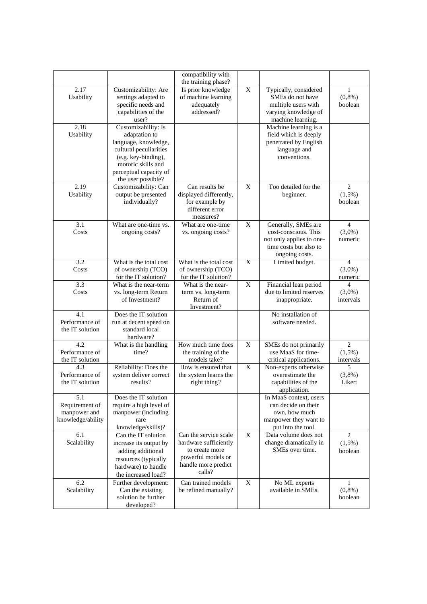|                                                            |                                                                                                                                                                                     | compatibility with                                                                                                      |              |                                                                                                                     |                                          |
|------------------------------------------------------------|-------------------------------------------------------------------------------------------------------------------------------------------------------------------------------------|-------------------------------------------------------------------------------------------------------------------------|--------------|---------------------------------------------------------------------------------------------------------------------|------------------------------------------|
| 2.17<br>Usability                                          | Customizability: Are<br>settings adapted to<br>specific needs and<br>capabilities of the                                                                                            | the training phase?<br>Is prior knowledge<br>of machine learning<br>adequately<br>addressed?                            | X            | Typically, considered<br>SME <sub>s</sub> do not have<br>multiple users with<br>varying knowledge of                | $\mathbf{1}$<br>(0,8%)<br>boolean        |
|                                                            | user?                                                                                                                                                                               |                                                                                                                         |              | machine learning.                                                                                                   |                                          |
| 2.18<br>Usability                                          | Customizability: Is<br>adaptation to<br>language, knowledge,<br>cultural peculiarities<br>(e.g. key-binding),<br>motoric skills and<br>perceptual capacity of<br>the user possible? |                                                                                                                         |              | Machine learning is a<br>field which is deeply<br>penetrated by English<br>language and<br>conventions.             |                                          |
| 2.19<br>Usability                                          | Customizability: Can<br>output be presented<br>individually?                                                                                                                        | Can results be<br>displayed differently,<br>for example by<br>different error<br>measures?                              | X            | Too detailed for the<br>beginner.                                                                                   | 2<br>$(1,5\%)$<br>boolean                |
| 3.1<br>Costs                                               | What are one-time vs.<br>ongoing costs?                                                                                                                                             | What are one-time<br>vs. ongoing costs?                                                                                 | X            | Generally, SMEs are<br>cost-conscious. This<br>not only applies to one-<br>time costs but also to<br>ongoing costs. | $\overline{4}$<br>$(3,0\%)$<br>numeric   |
| 3.2<br>Costs                                               | What is the total cost<br>of ownership (TCO)<br>for the IT solution?                                                                                                                | What is the total cost<br>of ownership (TCO)<br>for the IT solution?                                                    | $\mathbf{X}$ | Limited budget.                                                                                                     | $\overline{4}$<br>$(3,0\%)$<br>numeric   |
| 3.3<br>Costs                                               | What is the near-term<br>vs. long-term Return<br>of Investment?                                                                                                                     | What is the near-<br>term vs. long-term<br>Return of<br>Investment?                                                     | X            | Financial lean period<br>due to limited reserves<br>inappropriate.                                                  | 4<br>$(3,0\%)$<br>intervals              |
| 4.1<br>Performance of<br>the IT solution                   | Does the IT solution<br>run at decent speed on<br>standard local<br>hardware?                                                                                                       |                                                                                                                         |              | No installation of<br>software needed.                                                                              |                                          |
| 4.2<br>Performance of<br>the IT solution                   | What is the handling<br>time?                                                                                                                                                       | How much time does<br>the training of the<br>models take?                                                               | $\mathbf X$  | SMEs do not primarily<br>use MaaS for time-<br>critical applications.                                               | $\overline{2}$<br>$(1,5\%)$<br>intervals |
| 4.3<br>Performance of<br>the IT solution                   | Reliability: Does the<br>system deliver correct<br>results?                                                                                                                         | How is ensured that<br>the system learns the<br>right thing?                                                            | X            | Non-experts otherwise<br>overestimate the<br>capabilities of the<br>application.                                    | 5<br>(3,8%)<br>Likert                    |
| 5.1<br>Requirement of<br>manpower and<br>knowledge/ability | Does the IT solution<br>require a high level of<br>manpower (including<br>rare<br>knowledge/skills)?                                                                                |                                                                                                                         |              | In MaaS context, users<br>can decide on their<br>own, how much<br>manpower they want to<br>put into the tool.       |                                          |
| 6.1<br>Scalability                                         | Can the IT solution<br>increase its output by<br>adding additional<br>resources (typically<br>hardware) to handle<br>the increased load?                                            | Can the service scale<br>hardware sufficiently<br>to create more<br>powerful models or<br>handle more predict<br>calls? | X            | Data volume does not<br>change dramatically in<br>SMEs over time.                                                   | 2<br>$(1,5\%)$<br>boolean                |
| 6.2<br>Scalability                                         | Further development:<br>Can the existing<br>solution be further<br>developed?                                                                                                       | Can trained models<br>be refined manually?                                                                              | X            | No ML experts<br>available in SMEs.                                                                                 | 1<br>(0,8%)<br>boolean                   |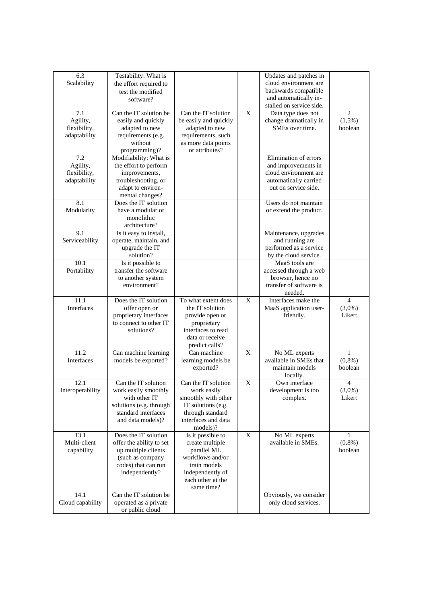| 6.3<br>Scalability                              | Testability: What is<br>the effort required to<br>test the modified<br>software?                                                     |                                                                                                                                                |   | Updates and patches in<br>cloud environment are<br>backwards compatible<br>and automatically in-<br>stalled on service side. |                                       |
|-------------------------------------------------|--------------------------------------------------------------------------------------------------------------------------------------|------------------------------------------------------------------------------------------------------------------------------------------------|---|------------------------------------------------------------------------------------------------------------------------------|---------------------------------------|
| 7.1<br>Agility,<br>flexibility,<br>adaptability | Can the IT solution be<br>easily and quickly<br>adapted to new<br>requirements (e.g.<br>without<br>programming)?                     | Can the IT solution<br>be easily and quickly<br>adapted to new<br>requirements, such<br>as more data points<br>or attributes?                  | X | Data type does not<br>change dramatically in<br>SMEs over time.                                                              | 2<br>$(1,5\%)$<br>boolean             |
| 7.2<br>Agility,<br>flexibility,<br>adaptability | Modifiability: What is<br>the effort to perform<br>improvements,<br>troubleshooting, or<br>adapt to environ-<br>mental changes?      |                                                                                                                                                |   | Elimination of errors<br>and improvements in<br>cloud environment are<br>automatically carried<br>out on service side.       |                                       |
| 8.1<br>Modularity                               | Does the IT solution<br>have a modular or<br>monolithic<br>architecture?                                                             |                                                                                                                                                |   | Users do not maintain<br>or extend the product.                                                                              |                                       |
| 9.1<br>Serviceability                           | Is it easy to install,<br>operate, maintain, and<br>upgrade the IT<br>solution?                                                      |                                                                                                                                                |   | Maintenance, upgrades<br>and running are<br>performed as a service<br>by the cloud service.                                  |                                       |
| 10.1<br>Portability                             | Is it possible to<br>transfer the software<br>to another system<br>environment?                                                      |                                                                                                                                                |   | MaaS tools are<br>accessed through a web<br>browser, hence no<br>transfer of software is<br>needed.                          |                                       |
| 11.1<br>Interfaces                              | Does the IT solution<br>offer open or<br>proprietary interfaces<br>to connect to other IT<br>solutions?                              | To what extent does<br>the IT solution<br>provide open or<br>proprietary<br>interfaces to read<br>data or receive<br>predict calls?            | X | Interfaces make the<br>MaaS application user-<br>friendly.                                                                   | $\overline{4}$<br>$(3,0\%)$<br>Likert |
| 11.2<br>Interfaces                              | Can machine learning<br>models be exported?                                                                                          | Can machine<br>learning models be<br>exported?                                                                                                 | X | No ML experts<br>available in SMEs that<br>maintain models<br>locally.                                                       | $\mathbf{1}$<br>(0,8% )<br>boolean    |
| 12.1<br>Interoperability                        | Can the IT solution<br>work easily smoothly<br>with other IT<br>solutions (e.g. through<br>standard interfaces<br>and data models)?  | Can the IT solution<br>work easily<br>smoothly with other<br>IT solutions (e.g.<br>through standard<br>interfaces and data<br>models)?         | X | Own interface<br>development is too<br>complex.                                                                              | 4<br>$(3,0\%)$<br>Likert              |
| 13.1<br>Multi-client<br>capability              | Does the IT solution<br>offer the ability to set<br>up multiple clients<br>(such as company<br>codes) that can run<br>independently? | Is it possible to<br>create multiple<br>parallel ML<br>workflows and/or<br>train models<br>independently of<br>each other at the<br>same time? | X | No ML experts<br>available in SMEs.                                                                                          | 1<br>$(0,8\%)$<br>boolean             |
| 14.1<br>Cloud capability                        | Can the IT solution be<br>operated as a private<br>or public cloud                                                                   |                                                                                                                                                |   | Obviously, we consider<br>only cloud services.                                                                               |                                       |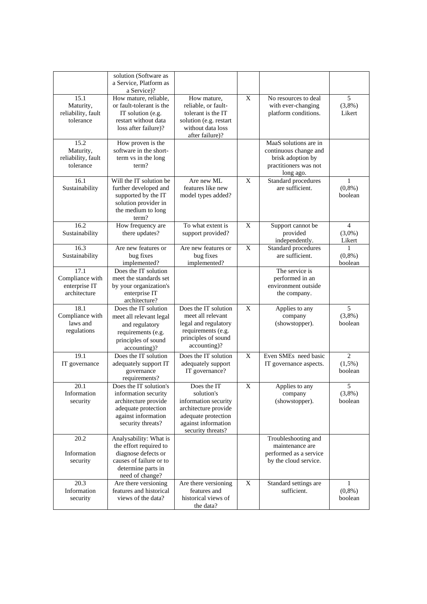|                                                          | solution (Software as<br>a Service, Platform as<br>a Service)?                                                                              |                                                                                                                                              |   |                                                                                                           |                                       |
|----------------------------------------------------------|---------------------------------------------------------------------------------------------------------------------------------------------|----------------------------------------------------------------------------------------------------------------------------------------------|---|-----------------------------------------------------------------------------------------------------------|---------------------------------------|
| 15.1<br>Maturity,<br>reliability, fault<br>tolerance     | How mature, reliable,<br>or fault-tolerant is the<br>IT solution (e.g.<br>restart without data<br>loss after failure)?                      | How mature,<br>reliable, or fault-<br>tolerant is the IT<br>solution (e.g. restart<br>without data loss<br>after failure)?                   | X | No resources to deal<br>with ever-changing<br>platform conditions.                                        | 5<br>$(3,8\%)$<br>Likert              |
| 15.2<br>Maturity,<br>reliability, fault<br>tolerance     | How proven is the<br>software in the short-<br>term vs in the long<br>term?                                                                 |                                                                                                                                              |   | MaaS solutions are in<br>continuous change and<br>brisk adoption by<br>practitioners was not<br>long ago. |                                       |
| 16.1<br>Sustainability                                   | Will the IT solution be<br>further developed and<br>supported by the IT<br>solution provider in<br>the medium to long<br>term?              | Are new ML<br>features like new<br>model types added?                                                                                        | X | Standard procedures<br>are sufficient.                                                                    | 1<br>(0,8% )<br>boolean               |
| 16.2<br>Sustainability                                   | How frequency are<br>there updates?                                                                                                         | To what extent is<br>support provided?                                                                                                       | X | Support cannot be<br>provided<br>independently.                                                           | $\overline{4}$<br>$(3,0\%)$<br>Likert |
| 16.3<br>Sustainability                                   | Are new features or<br>bug fixes<br>implemented?                                                                                            | Are new features or<br>bug fixes<br>implemented?                                                                                             | X | <b>Standard</b> procedures<br>are sufficient.                                                             | 1<br>(0,8% )<br>boolean               |
| 17.1<br>Compliance with<br>enterprise IT<br>architecture | Does the IT solution<br>meet the standards set<br>by your organization's<br>enterprise IT<br>architecture?                                  |                                                                                                                                              |   | The service is<br>performed in an<br>environment outside<br>the company.                                  |                                       |
| 18.1<br>Compliance with<br>laws and<br>regulations       | Does the IT solution<br>meet all relevant legal<br>and regulatory<br>requirements (e.g.<br>principles of sound<br>accounting)?              | Does the IT solution<br>meet all relevant<br>legal and regulatory<br>requirements (e.g.<br>principles of sound<br>accounting)?               | X | Applies to any<br>company<br>(showstopper).                                                               | 5<br>$(3,8\%)$<br>boolean             |
| 19.1<br>IT governance                                    | Does the IT solution<br>adequately support IT<br>governance<br>requirements?                                                                | Does the IT solution<br>adequately support<br>IT governance?                                                                                 | X | Even SMEs need basic<br>IT governance aspects.                                                            | 2<br>$(1,5\%)$<br>boolean             |
| 20.1<br>Information<br>security                          | Does the IT solution's<br>information security<br>architecture provide<br>adequate protection<br>against information<br>security threats?   | Does the IT<br>solution's<br>information security<br>architecture provide<br>adequate protection<br>against information<br>security threats? | X | Applies to any<br>company<br>(showstopper).                                                               | 5<br>(3,8%)<br>boolean                |
| 20.2<br>Information<br>security                          | Analysability: What is<br>the effort required to<br>diagnose defects or<br>causes of failure or to<br>determine parts in<br>need of change? |                                                                                                                                              |   | Troubleshooting and<br>maintenance are<br>performed as a service<br>by the cloud service.                 |                                       |
| 20.3<br>Information<br>security                          | Are there versioning<br>features and historical<br>views of the data?                                                                       | Are there versioning<br>features and<br>historical views of<br>the data?                                                                     | X | Standard settings are<br>sufficient.                                                                      | 1<br>(0,8% )<br>boolean               |